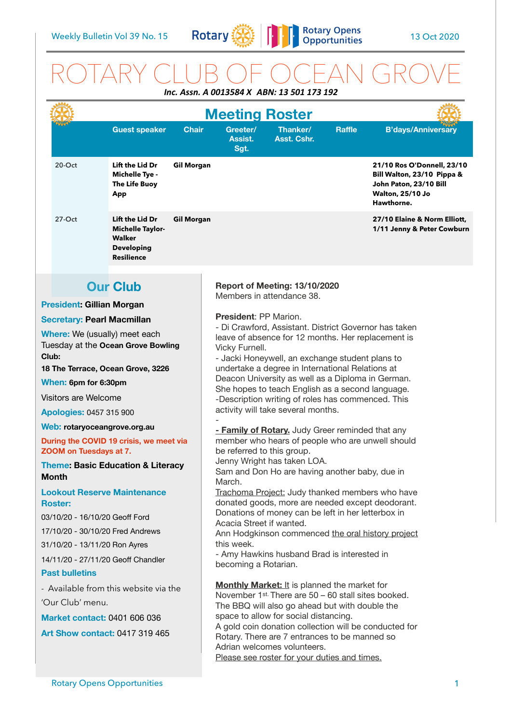

# ROTARY CLUB OF OCEAN GROVE

| Inc. Assn. A 0013584 X ABN: 13 501 173 192                                                                                                                                                                                                                                                                                                                                                                                                                                                                                                                                                                                                      |                                                                                                                                                                                                                                                                                  |                                                                                                                                                                                                                                                                                                                                                                                                                                                                                                                                                                                                                                                                                                                                                                                                                                                                                                                                                                                                                                           |               |                                                                                                                             |
|-------------------------------------------------------------------------------------------------------------------------------------------------------------------------------------------------------------------------------------------------------------------------------------------------------------------------------------------------------------------------------------------------------------------------------------------------------------------------------------------------------------------------------------------------------------------------------------------------------------------------------------------------|----------------------------------------------------------------------------------------------------------------------------------------------------------------------------------------------------------------------------------------------------------------------------------|-------------------------------------------------------------------------------------------------------------------------------------------------------------------------------------------------------------------------------------------------------------------------------------------------------------------------------------------------------------------------------------------------------------------------------------------------------------------------------------------------------------------------------------------------------------------------------------------------------------------------------------------------------------------------------------------------------------------------------------------------------------------------------------------------------------------------------------------------------------------------------------------------------------------------------------------------------------------------------------------------------------------------------------------|---------------|-----------------------------------------------------------------------------------------------------------------------------|
|                                                                                                                                                                                                                                                                                                                                                                                                                                                                                                                                                                                                                                                 | <b>Meeting Roster</b>                                                                                                                                                                                                                                                            |                                                                                                                                                                                                                                                                                                                                                                                                                                                                                                                                                                                                                                                                                                                                                                                                                                                                                                                                                                                                                                           |               |                                                                                                                             |
| <b>Guest speaker</b><br><b>Chair</b>                                                                                                                                                                                                                                                                                                                                                                                                                                                                                                                                                                                                            | Greeter/<br>Assist.<br>Sgt.                                                                                                                                                                                                                                                      | Thanker/<br>Asst. Cshr.                                                                                                                                                                                                                                                                                                                                                                                                                                                                                                                                                                                                                                                                                                                                                                                                                                                                                                                                                                                                                   | <b>Raffle</b> | <b>B'days/Anniversary</b>                                                                                                   |
| Lift the Lid Dr<br>$20$ -Oct<br><b>Gil Morgan</b><br><b>Michelle Tye -</b><br>The Life Buoy<br>App                                                                                                                                                                                                                                                                                                                                                                                                                                                                                                                                              |                                                                                                                                                                                                                                                                                  |                                                                                                                                                                                                                                                                                                                                                                                                                                                                                                                                                                                                                                                                                                                                                                                                                                                                                                                                                                                                                                           |               | 21/10 Ros O'Donnell, 23/10<br>Bill Walton, 23/10 Pippa &<br>John Paton, 23/10 Bill<br><b>Walton, 25/10 Jo</b><br>Hawthorne. |
| $27-Oct$<br>Lift the Lid Dr<br><b>Gil Morgan</b><br><b>Michelle Taylor-</b><br><b>Walker</b><br><b>Developing</b><br><b>Resilience</b>                                                                                                                                                                                                                                                                                                                                                                                                                                                                                                          |                                                                                                                                                                                                                                                                                  |                                                                                                                                                                                                                                                                                                                                                                                                                                                                                                                                                                                                                                                                                                                                                                                                                                                                                                                                                                                                                                           |               | 27/10 Elaine & Norm Elliott,<br>1/11 Jenny & Peter Cowburn                                                                  |
| <b>Our Club</b>                                                                                                                                                                                                                                                                                                                                                                                                                                                                                                                                                                                                                                 |                                                                                                                                                                                                                                                                                  | Report of Meeting: 13/10/2020                                                                                                                                                                                                                                                                                                                                                                                                                                                                                                                                                                                                                                                                                                                                                                                                                                                                                                                                                                                                             |               |                                                                                                                             |
|                                                                                                                                                                                                                                                                                                                                                                                                                                                                                                                                                                                                                                                 |                                                                                                                                                                                                                                                                                  | Members in attendance 38.                                                                                                                                                                                                                                                                                                                                                                                                                                                                                                                                                                                                                                                                                                                                                                                                                                                                                                                                                                                                                 |               |                                                                                                                             |
| <b>President: Gillian Morgan</b><br><b>Secretary: Pearl Macmillan</b>                                                                                                                                                                                                                                                                                                                                                                                                                                                                                                                                                                           | <b>President: PP Marion.</b>                                                                                                                                                                                                                                                     |                                                                                                                                                                                                                                                                                                                                                                                                                                                                                                                                                                                                                                                                                                                                                                                                                                                                                                                                                                                                                                           |               |                                                                                                                             |
| Where: We (usually) meet each<br>Tuesday at the Ocean Grove Bowling<br>Club:<br>18 The Terrace, Ocean Grove, 3226<br>When: 6pm for 6:30pm<br>Visitors are Welcome<br><b>Apologies: 0457 315 900</b><br>Web: rotaryoceangrove.org.au<br>During the COVID 19 crisis, we meet via<br><b>ZOOM on Tuesdays at 7.</b><br><b>Theme: Basic Education &amp; Literacy</b><br>Month<br><b>Lookout Reserve Maintenance</b><br><b>Roster:</b><br>03/10/20 - 16/10/20 Geoff Ford<br>17/10/20 - 30/10/20 Fred Andrews<br>31/10/20 - 13/11/20 Ron Ayres<br>14/11/20 - 27/11/20 Geoff Chandler<br><b>Past bulletins</b><br>- Available from this website via the | March.<br>this week.                                                                                                                                                                                                                                                             | leave of absence for 12 months. Her replacement is<br>Vicky Furnell.<br>- Jacki Honeywell, an exchange student plans to<br>undertake a degree in International Relations at<br>Deacon University as well as a Diploma in German.<br>She hopes to teach English as a second language.<br>-Description writing of roles has commenced. This<br>activity will take several months.<br>- Family of Rotary. Judy Greer reminded that any<br>member who hears of people who are unwell should<br>be referred to this group.<br>Jenny Wright has taken LOA.<br>Sam and Don Ho are having another baby, due in<br>Trachoma Project: Judy thanked members who have<br>donated goods, more are needed except deodorant.<br>Donations of money can be left in her letterbox in<br>Acacia Street if wanted.<br>Ann Hodgkinson commenced the oral history project<br>- Amy Hawkins husband Brad is interested in<br>becoming a Rotarian.<br><b>Monthly Market: It is planned the market for</b><br>November 1st. There are 50 - 60 stall sites booked. |               |                                                                                                                             |
| 'Our Club' menu.<br><b>Market contact: 0401 606 036</b><br><b>Art Show contact: 0417 319 465</b>                                                                                                                                                                                                                                                                                                                                                                                                                                                                                                                                                | The BBQ will also go ahead but with double the<br>space to allow for social distancing.<br>A gold coin donation collection will be conducted for<br>Rotary. There are 7 entrances to be manned so<br>Adrian welcomes volunteers.<br>Please see roster for your duties and times. |                                                                                                                                                                                                                                                                                                                                                                                                                                                                                                                                                                                                                                                                                                                                                                                                                                                                                                                                                                                                                                           |               |                                                                                                                             |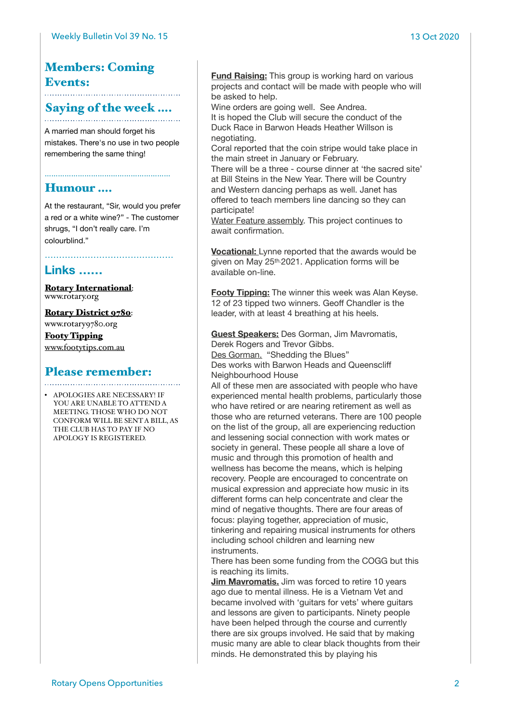### Members: Coming Events:

# Saying of the week ....

A married man should forget his mistakes. There's no use in two people remembering the same thing!

…………………………………………………

#### Humour ….

At the restaurant, "Sir, would you prefer a red or a white wine?" - The customer shrugs, "I don't really care. I'm colourblind."

………………………………………

#### **Links ……**

[Rotary International](https://www.rotary.org): [www.rotary.org](http://www.rotary.org)

[Rotary District 9780](http://rotary9780.org):

[www.rotary9780.org](http://www.rotary9780.org)

[Footy Tipping](http://www.footytips.com.au) [www.footytips.com.au](http://www.footytips.com.au)

## Please remember:

• APOLOGIES ARE NECESSARY! IF YOU ARE UNABLE TO ATTEND A MEETING. THOSE WHO DO NOT CONFORM WILL BE SENT A BILL, AS THE CLUB HAS TO PAY IF NO APOLOGY IS REGISTERED.

**Fund Raising:** This group is working hard on various projects and contact will be made with people who will be asked to help.

Wine orders are going well. See Andrea.

It is hoped the Club will secure the conduct of the Duck Race in Barwon Heads Heather Willson is negotiating.

Coral reported that the coin stripe would take place in the main street in January or February.

There will be a three - course dinner at 'the sacred site' at Bill Steins in the New Year. There will be Country and Western dancing perhaps as well. Janet has offered to teach members line dancing so they can participate!

Water Feature assembly. This project continues to await confirmation.

**Vocational:** Lynne reported that the awards would be given on May 25th.2021. Application forms will be available on-line.

**Footy Tipping:** The winner this week was Alan Keyse. 12 of 23 tipped two winners. Geoff Chandler is the leader, with at least 4 breathing at his heels.

**Guest Speakers:** Des Gorman, Jim Mavromatis, Derek Rogers and Trevor Gibbs. Des Gorman. "Shedding the Blues" Des works with Barwon Heads and Queenscliff Neighbourhood House

All of these men are associated with people who have experienced mental health problems, particularly those who have retired or are nearing retirement as well as those who are returned veterans. There are 100 people on the list of the group, all are experiencing reduction and lessening social connection with work mates or society in general. These people all share a love of music and through this promotion of health and wellness has become the means, which is helping recovery. People are encouraged to concentrate on musical expression and appreciate how music in its different forms can help concentrate and clear the mind of negative thoughts. There are four areas of focus: playing together, appreciation of music, tinkering and repairing musical instruments for others including school children and learning new instruments.

There has been some funding from the COGG but this is reaching its limits.

**Jim Mavromatis.** Jim was forced to retire 10 years ago due to mental illness. He is a Vietnam Vet and became involved with 'guitars for vets' where guitars and lessons are given to participants. Ninety people have been helped through the course and currently there are six groups involved. He said that by making music many are able to clear black thoughts from their minds. He demonstrated this by playing his